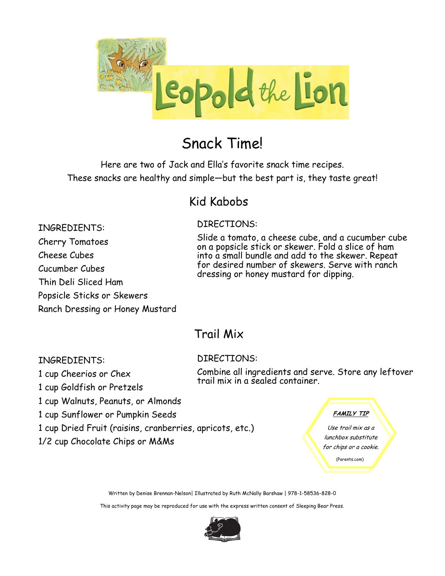

### Snack Time!

Here are two of Jack and Ella's favorite snack time recipes. These snacks are healthy and simple—but the best part is, they taste great!

### Kid Kabobs

### DIRECTIONS:

INGREDIENTS: Cherry Tomatoes Cheese Cubes Cucumber Cubes Thin Deli Sliced Ham Popsicle Sticks or Skewers Ranch Dressing or Honey Mustard

Slide a tomato, a cheese cube, and a cucumber cube on a popsicle stick or skewer. Fold a slice of ham into a small bundle and add to the skewer. Repeat for desired number of skewers. Serve with ranch dressing or honey mustard for dipping.

### Trail Mix

DIRECTIONS:

#### INGREDIENTS:

1 cup Cheerios or Chex

- 1 cup Goldfish or Pretzels
- 1 cup Walnuts, Peanuts, or Almonds
- 1 cup Sunflower or Pumpkin Seeds
- 1 cup Dried Fruit (raisins, cranberries, apricots, etc.)
- 1/2 cup Chocolate Chips or M&Ms

Combine all ingredients and serve. Store any leftover trail mix in a sealed container.

#### **FAMILY TIP**

Use trail mix as a lunchbox substitute for chips or a cookie. (Parents.com)

Written by Denise Brennan-Nelson| Illustrated by Ruth McNally Barshaw | 978-1-58536-828-0

This activity page may be reproduced for use with the express written consent of Sleeping Bear Press.

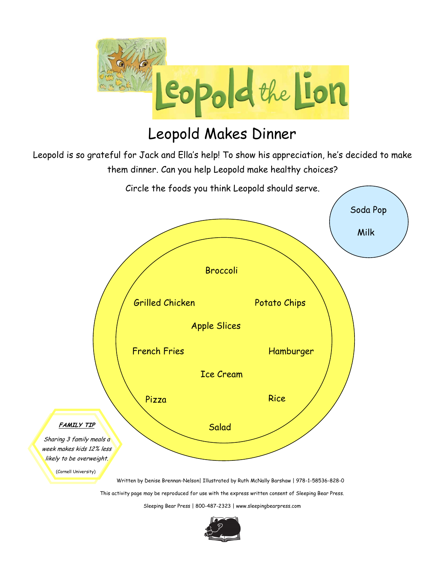

### Leopold Makes Dinner

Leopold is so grateful for Jack and Ella's help! To show his appreciation, he's decided to make them dinner. Can you help Leopold make healthy choices?



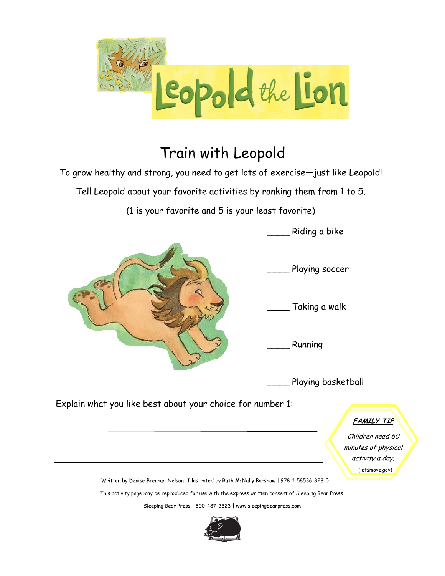

## Train with Leopold

To grow healthy and strong, you need to get lots of exercise—just like Leopold!

Tell Leopold about your favorite activities by ranking them from 1 to 5.

(1 is your favorite and 5 is your least favorite)



Children need 60 minutes of physical activity a day. (letsmove.gov)

Written by Denise Brennan-Nelson| Illustrated by Ruth McNally Barshaw | 978-1-58536-828-0

This activity page may be reproduced for use with the express written consent of Sleeping Bear Press.

Sleeping Bear Press | 800-487-2323 | www.sleepingbearpress.com

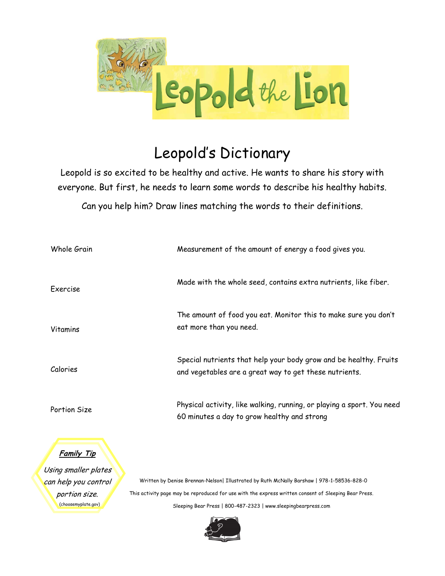

# Leopold's Dictionary

Leopold is so excited to be healthy and active. He wants to share his story with everyone. But first, he needs to learn some words to describe his healthy habits.

Can you help him? Draw lines matching the words to their definitions.

| Whole Grain                               | Measurement of the amount of energy a food gives you.                                                                       |
|-------------------------------------------|-----------------------------------------------------------------------------------------------------------------------------|
| Exercise                                  | Made with the whole seed, contains extra nutrients, like fiber.                                                             |
| <b>Vitamins</b>                           | The amount of food you eat. Monitor this to make sure you don't<br>eat more than you need.                                  |
| Calories                                  | Special nutrients that help your body grow and be healthy. Fruits<br>and vegetables are a great way to get these nutrients. |
| Portion Size                              | Physical activity, like walking, running, or playing a sport. You need<br>60 minutes a day to grow healthy and strong       |
| <u>Family Tip</u><br>Isina smaller plates |                                                                                                                             |

Using smaller plates can help you control portion size. (choosemyplate.gov)

Written by Denise Brennan-Nelson| Illustrated by Ruth McNally Barshaw | 978-1-58536-828-0 This activity page may be reproduced for use with the express written consent of Sleeping Bear Press. Sleeping Bear Press | 800-487-2323 | www.sleepingbearpress.com